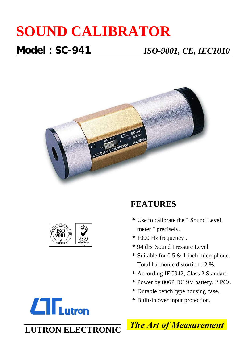# **SOUND CALIBRATOR**

**Model : SC-941** *ISO-9001, CE, IEC1010*





## **FEATURES**

- \* Use to calibrate the " Sound Level meter " precisely.
- \* 1000 Hz frequency .
- \* 94 dB Sound Pressure Level
- \* Suitable for 0.5 & 1 inch microphone. Total harmonic distortion : 2 %.
- \* According IEC942, Class 2 Standard
- \* Power by 006P DC 9V battery, 2 PCs.
- \* Durable bench type housing case.
- \* Built-in over input protection.

**The Art of Measurement** 



**LUTRON ELECTRONIC**